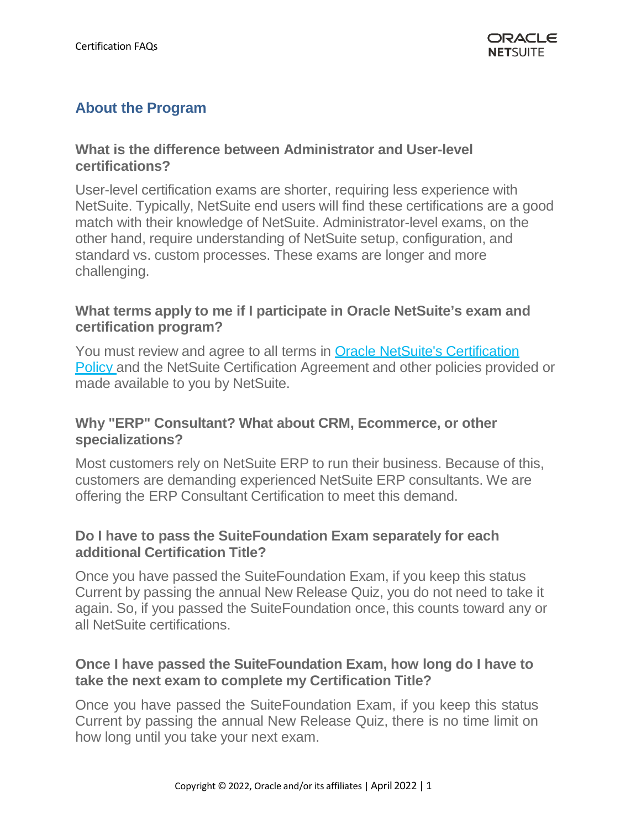## **About the Program**

### **What is the difference between Administrator and User-level certifications?**

User-level certification exams are shorter, requiring less experience with NetSuite. Typically, NetSuite end users will find these certifications are a good match with their knowledge of NetSuite. Administrator-level exams, on the other hand, require understanding of NetSuite setup, configuration, and standard vs. custom processes. These exams are longer and more challenging.

### **What terms apply to me if I participate in Oracle NetSuite's exam and certification program?**

You must review and agree to all terms in Oracle NetSuite's [Certification](https://system.netsuite.com/core/media/media.nl?id=10263318&amp%3Bc=NLCORP&amp%3Bh=85a2c6855f4bceb543de&amp%3B_xt=.pdf&amp%3Bvid=GytJpOBHApWHz0Px&amp%3Bchrole=17&amp%3Bck=HP34ZuBHAoyHz9ws&amp%3Bcktime=158153&amp%3Bpromocode&amp%3Bpromocodeaction=overwrite) [Policy](https://system.netsuite.com/core/media/media.nl?id=10263318&amp%3Bc=NLCORP&amp%3Bh=85a2c6855f4bceb543de&amp%3B_xt=.pdf&amp%3Bvid=GytJpOBHApWHz0Px&amp%3Bchrole=17&amp%3Bck=HP34ZuBHAoyHz9ws&amp%3Bcktime=158153&amp%3Bpromocode&amp%3Bpromocodeaction=overwrite) and the NetSuite Certification Agreement and other policies provided or made available to you by NetSuite.

### **Why "ERP" Consultant? What about CRM, Ecommerce, or other specializations?**

Most customers rely on NetSuite ERP to run their business. Because of this, customers are demanding experienced NetSuite ERP consultants. We are offering the ERP Consultant Certification to meet this demand.

### **Do I have to pass the SuiteFoundation Exam separately for each additional Certification Title?**

Once you have passed the SuiteFoundation Exam, if you keep this status Current by passing the annual New Release Quiz, you do not need to take it again. So, if you passed the SuiteFoundation once, this counts toward any or all NetSuite certifications.

### **Once I have passed the SuiteFoundation Exam, how long do I have to take the next exam to complete my Certification Title?**

Once you have passed the SuiteFoundation Exam, if you keep this status Current by passing the annual New Release Quiz, there is no time limit on how long until you take your next exam.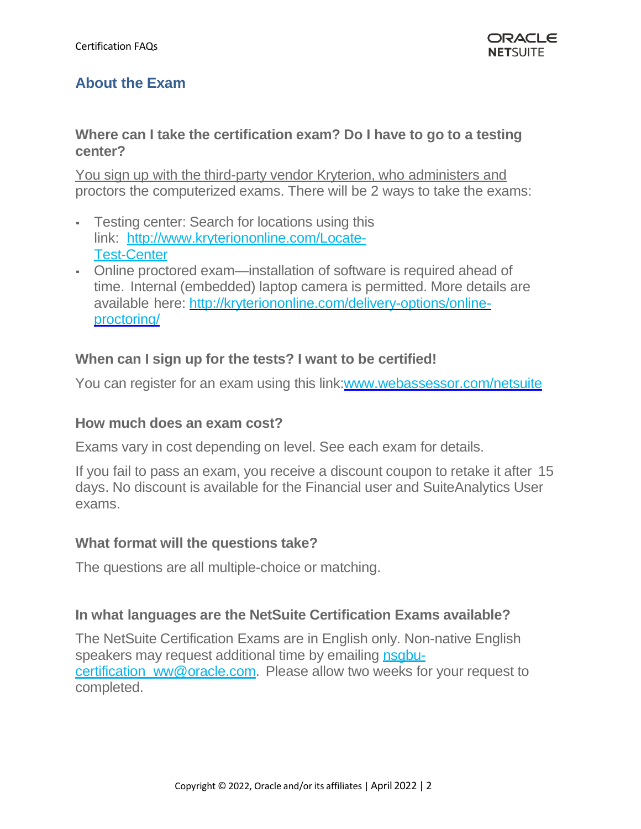# **About the Exam**

#### **Where can I take the certification exam? Do I have to go to a testing center?**

You sign up with the third-party vendor Kryterion, who administers and proctors the computerized exams. There will be 2 ways to take the exams:

- **EXECT:** Testing center: Search for locations using this link: [http://www.kryteriononline.com/Locate-](http://www.kryteriononline.com/Locate-Test-Center)[Test-Center](http://www.kryteriononline.com/Locate-Test-Center)
- Online proctored exam—installation of software is required ahead of time. Internal (embedded) laptop camera is permitted. More details are available here: [http://kryteriononline.com/delivery-options/online](http://kryteriononline.com/delivery-options/online-proctoring/)[proctoring/](http://kryteriononline.com/delivery-options/online-proctoring/)

#### **When can I sign up for the tests? I want to be certified!**

You can register for an exam using this link[:www.webassessor.com/netsuite](http://www.webassessor.com/netsuite)

#### **How much does an exam cost?**

Exams vary in cost depending on level. See each exam for details.

If you fail to pass an exam, you receive a discount coupon to retake it after 15 days. No discount is available for the Financial user and SuiteAnalytics User exams.

#### **What format will the questions take?**

The questions are all multiple-choice or matching.

#### **In what languages are the NetSuite Certification Exams available?**

The NetSuite Certification Exams are in English only. Non-native [English](mailto:nsgbu-certification_ww@oracle.com) speakers may request additional time by emailing [nsgbu](mailto:nsgbu-certification_ww@oracle.com)[certification\\_ww@oracle.com.](mailto:nsgbu-certification_ww@oracle.com) Please allow two weeks for your request to completed.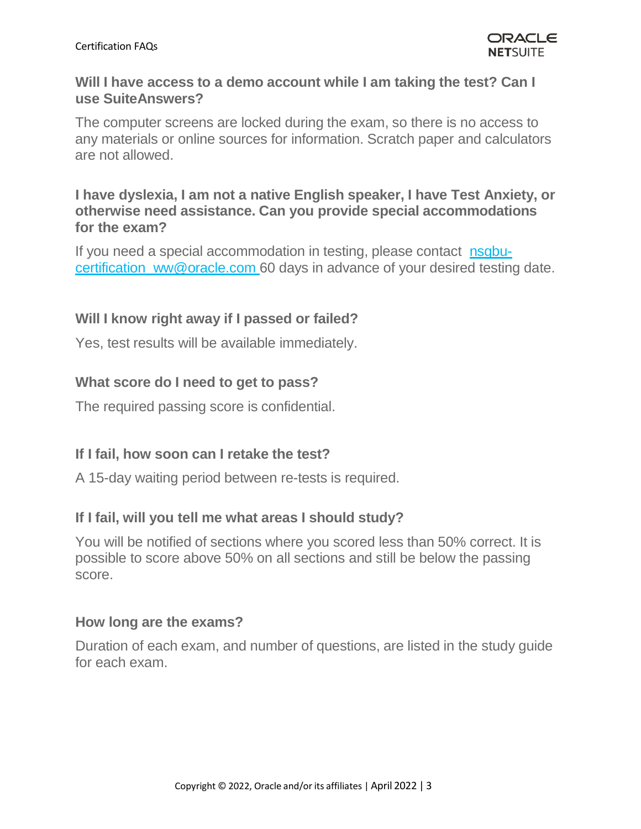### **Will I have access to a demo account while I am taking the test? Can I use SuiteAnswers?**

The computer screens are locked during the exam, so there is no access to any materials or online sources for information. Scratch paper and calculators are not allowed.

### **I have dyslexia, I am not a native English speaker, I have Test Anxiety, or otherwise need assistance. Can you provide special accommodations for the exam?**

If you need a special accommodation in testing, please contact [nsgbu](mailto:certification@netsuite.com)certification ww@oracle.com 60 days in advance of your desired testing date.

## **Will I know right away if I passed or failed?**

Yes, test results will be available immediately.

## **What score do I need to get to pass?**

The required passing score is confidential.

## **If I fail, how soon can I retake the test?**

A 15-day waiting period between re-tests is required.

### **If I fail, will you tell me what areas I should study?**

You will be notified of sections where you scored less than 50% correct. It is possible to score above 50% on all sections and still be below the passing score.

### **How long are the exams?**

Duration of each exam, and number of questions, are listed in the study guide for each exam.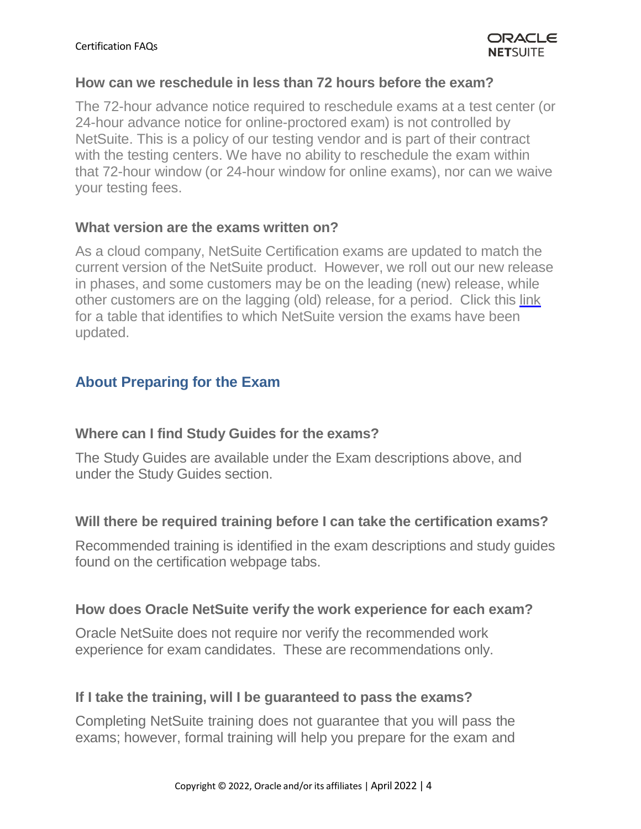#### **How can we reschedule in less than 72 hours before the exam?**

The 72-hour advance notice required to reschedule exams at a test center (or 24-hour advance notice for online-proctored exam) is not controlled by NetSuite. This is a policy of our testing vendor and is part of their contract with the testing centers. We have no ability to reschedule the exam within that 72-hour window (or 24-hour window for online exams), nor can we waive your testing fees.

#### **What version are the exams written on?**

As a cloud company, NetSuite Certification exams are updated to match the current version of the NetSuite product. However, we roll out our new release in phases, and some customers may be on the leading (new) release, while other customers are on the lagging (old) release, for a period. Click this [link](https://nlcorp.app.netsuite.com/core/media/media.nl?id=99488216&c=NLCORP&h=V40txDP6YDAhmKpHynJ1uUg6-L-U3evM644aybF7G5Qcnb3n&_xt=.pdf) for a table that identifies to which NetSuite version the exams have been updated.

## **About Preparing for the Exam**

### **Where can I find Study Guides for the exams?**

The Study Guides are available under the Exam descriptions above, and under the Study Guides section.

### **Will there be required training before I can take the certification exams?**

Recommended training is identified in the exam descriptions and study guides found on the certification webpage tabs.

### **How does Oracle NetSuite verify the work experience for each exam?**

Oracle NetSuite does not require nor verify the recommended work experience for exam candidates. These are recommendations only.

### **If I take the training, will I be guaranteed to pass the exams?**

Completing NetSuite training does not guarantee that you will pass the exams; however, formal training will help you prepare for the exam and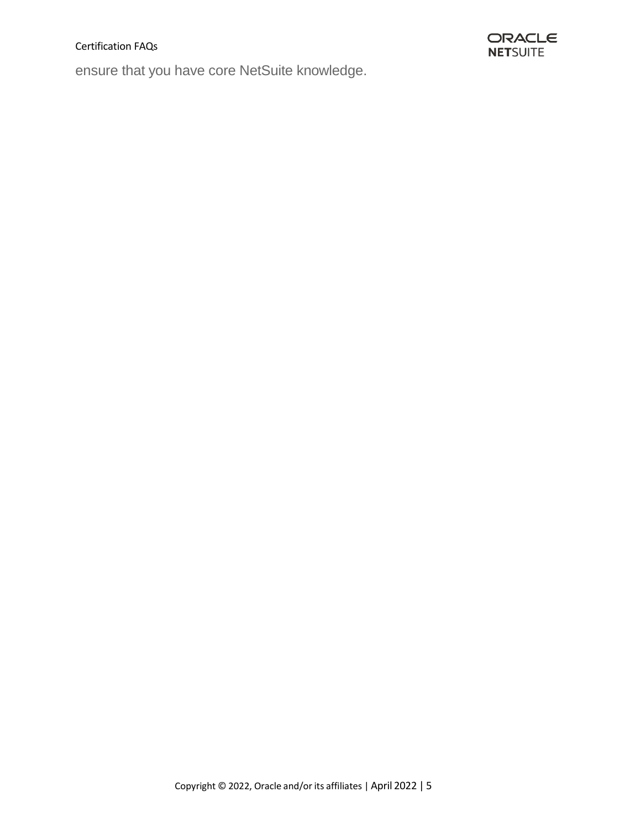#### Certification FAQs

ensure that you have core NetSuite knowledge.

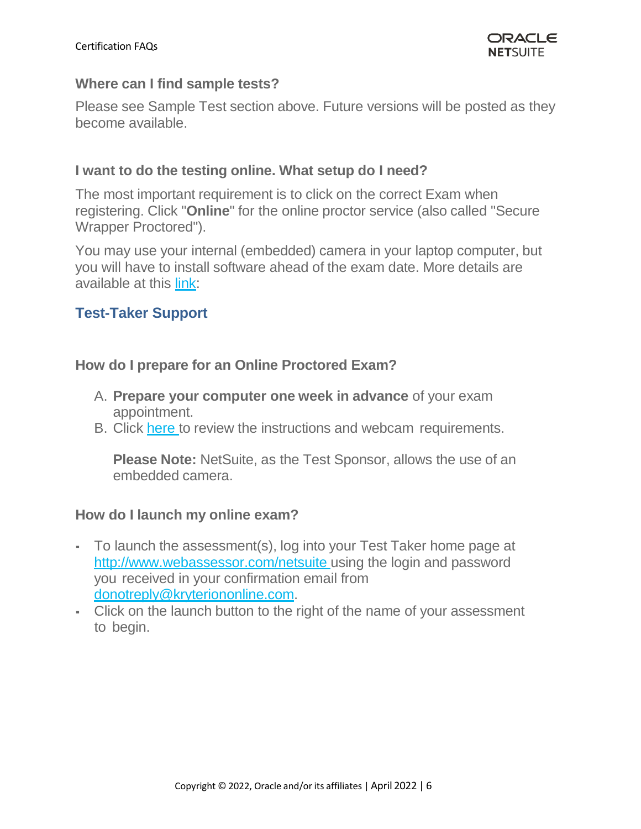#### **Where can I find sample tests?**

Please see Sample Test section above. Future versions will be posted as they become available.

#### **I want to do the testing online. What setup do I need?**

The most important requirement is to click on the correct Exam when registering. Click "**Online**" for the online proctor service (also called "Secure Wrapper Proctored").

You may use your internal (embedded) camera in your laptop computer, but you will have to install software ahead of the exam date. More details are available at this [link:](https://kryterion.force.com/support/s/article/Launching-your-Online-exam?language=en_US)

## **Test-Taker Support**

#### **How do I prepare for an Online Proctored Exam?**

- A. **Prepare your computer one week in advance** of your exam appointment.
- B. Click [here](https://kryterion.force.com/support/s/article/Launching-your-Online-exam?language=en_US) to review the instructions and webcam requirements.

**Please Note:** NetSuite, as the Test Sponsor, allows the use of an embedded camera.

### **How do I launch my online exam?**

- To launch the assessment(s), log into your Test Taker home page at <http://www.webassessor.com/netsuite> using the login and [password](mailto:donotreply@kryteriononline.com) you received in your confirmation email from [donotreply@kryteriononline.com.](mailto:donotreply@kryteriononline.com)
- Click on the launch button to the right of the name of your assessment to begin.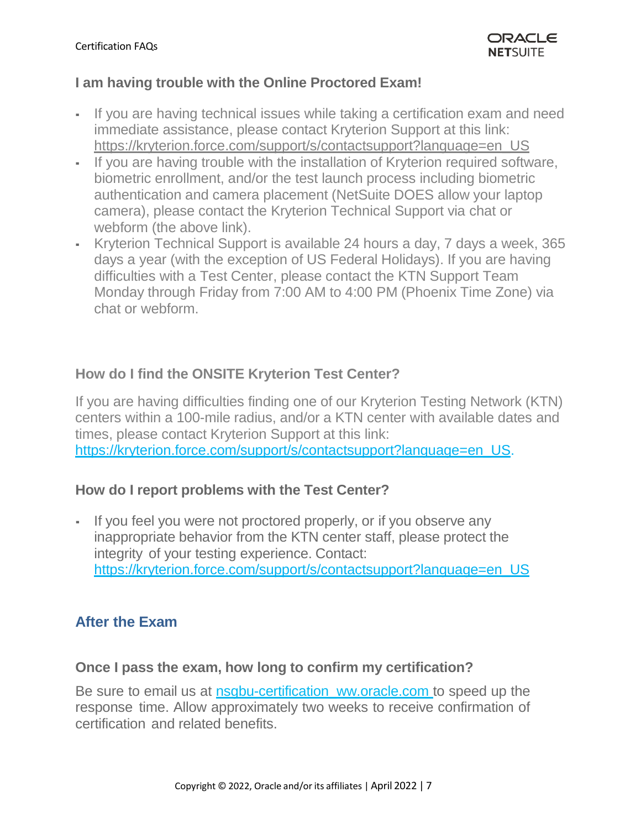### **I am having trouble with the Online Proctored Exam!**

- If you are having technical issues while taking a certification exam and need immediate assistance, please contact Kryterion Support at this link: [https://kryterion.force.com/support/s/contactsupport?language=en\\_US](https://kryterion.force.com/support/s/contactsupport?language=en_US)
- If you are having trouble with the installation of Kryterion required software, biometric enrollment, and/or the test launch process including biometric authentication and camera placement (NetSuite DOES allow your laptop camera), please contact the Kryterion Technical Support via chat or webform (the above link).
- Kryterion Technical Support is available 24 hours a day, 7 days a week, 365 days a year (with the exception of US Federal Holidays). If you are having difficulties with a Test Center, please contact the KTN Support Team Monday through Friday from 7:00 AM to 4:00 PM (Phoenix Time Zone) via chat or webform.

## **How do I find the ONSITE Kryterion Test Center?**

If you are having difficulties finding one of our Kryterion Testing Network (KTN) centers within a 100-mile radius, and/or a KTN center with available dates and times, please contact Kryterion Support at this link: [https://kryterion.force.com/support/s/contactsupport?language=en\\_US.](https://kryterion.force.com/support/s/contactsupport?language=en_US)

## **How do I report problems with the Test Center?**

▪ If you feel you were not proctored properly, or if you observe any inappropriate behavior from the KTN center staff, please protect the integrity of your testing experience. Contact: [https://kryterion.force.com/support/s/contactsupport?language=en\\_US](https://kryterion.force.com/support/s/contactsupport?language=en_US)

## **After the Exam**

### **Once I pass the exam, how long to confirm my certification?**

Be sure to email us at nsgbu-certification ww.oracle.com to speed up the response time. Allow approximately two weeks to receive confirmation of certification and related benefits.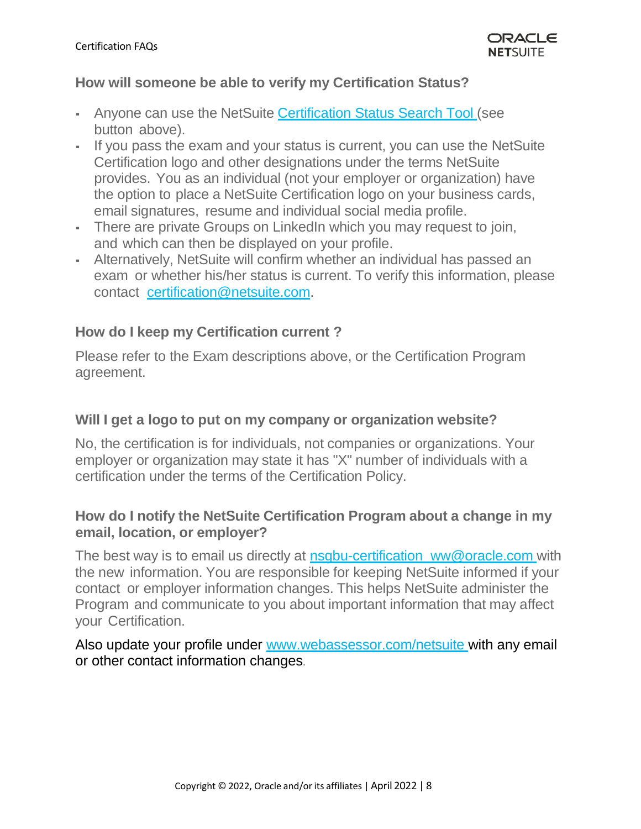### **How will someone be able to verify my Certification Status?**

- **-** Anyone can use the NetSuite Certification Status [Search Tool \(](https://forms.netsuite.com/app/site/hosting/scriptlet.nl?script=1142&amp%3Bdeploy=1&amp%3Bcompid=NLCORP&amp%3Bh=6abf91dbd1d6a750b29a&amp%3Bvid=GytJpOBHApWHz0Px&amp%3Bchrole=17&amp%3Bck=HP34ZuBHAoyHz9ws&amp%3Bcktime=158153&amp%3Bpromocode&amp%3Bpromocodeaction=overwrite)see button above).
- If you pass the exam and your status is current, you can use the NetSuite Certification logo and other designations under the terms NetSuite provides. You as an individual (not your employer or organization) have the option to place a NetSuite Certification logo on your business cards, email signatures, resume and individual social media profile.
- There are private Groups on LinkedIn which you may request to join, and which can then be displayed on your profile.
- Alternatively, NetSuite will confirm whether an individual has passed an exam or whether his/her status is current. To verify this information, please contact [certification@netsuite.com.](mailto:certification@netsuite.com)

## **How do I keep my Certification current ?**

Please refer to the Exam descriptions above, or the Certification Program agreement.

### **Will I get a logo to put on my company or organization website?**

No, the certification is for individuals, not companies or organizations. Your employer or organization may state it has "X" number of individuals with a certification under the terms of the Certification Policy.

### **How do I notify the NetSuite Certification Program about a change in my email, location, or employer?**

The best way is to email us directly at nsgbu-certification ww@oracle.com with the new information. You are responsible for keeping NetSuite informed if your contact or employer information changes. This helps NetSuite administer the Program and communicate to you about important information that may affect your Certification.

Also update your profile under [www.webassessor.com/netsuite](http://www.webassessor.com/netsuite) with any email or other contact information changes.